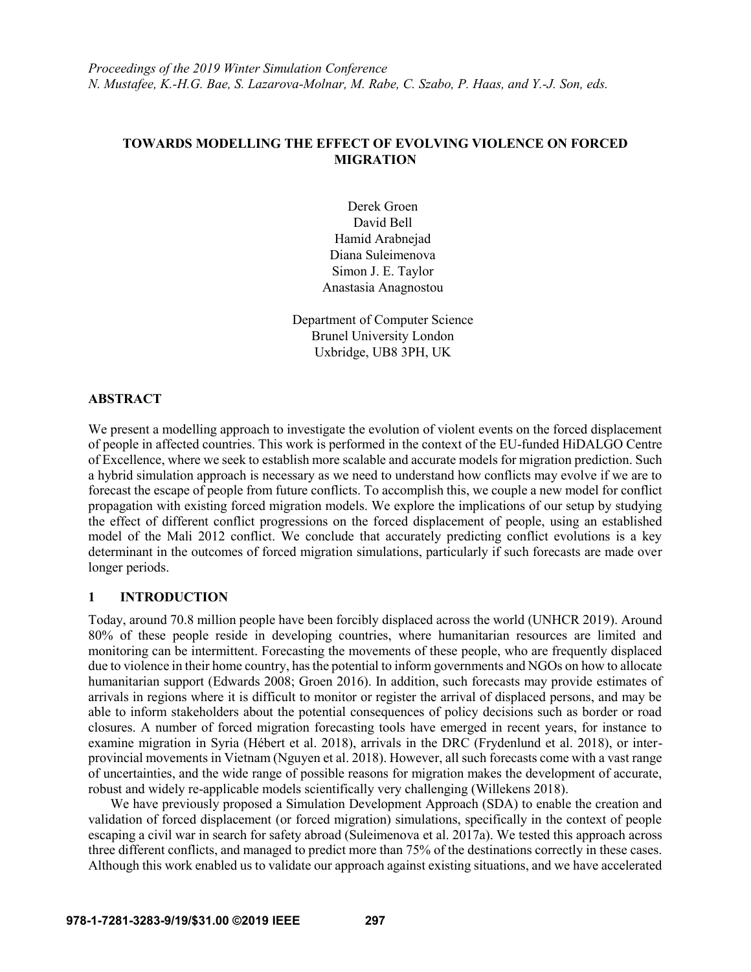# **TOWARDS MODELLING THE EFFECT OF EVOLVING VIOLENCE ON FORCED MIGRATION**

Derek Groen David Bell Hamid Arabnejad Diana Suleimenova Simon J. E. Taylor Anastasia Anagnostou

Department of Computer Science Brunel University London Uxbridge, UB8 3PH, UK

# **ABSTRACT**

We present a modelling approach to investigate the evolution of violent events on the forced displacement of people in affected countries. This work is performed in the context of the EU-funded HiDALGO Centre of Excellence, where we seek to establish more scalable and accurate models for migration prediction. Such a hybrid simulation approach is necessary as we need to understand how conflicts may evolve if we are to forecast the escape of people from future conflicts. To accomplish this, we couple a new model for conflict propagation with existing forced migration models. We explore the implications of our setup by studying the effect of different conflict progressions on the forced displacement of people, using an established model of the Mali 2012 conflict. We conclude that accurately predicting conflict evolutions is a key determinant in the outcomes of forced migration simulations, particularly if such forecasts are made over longer periods.

# **1 INTRODUCTION**

Today, around 70.8 million people have been forcibly displaced across the world (UNHCR 2019). Around 80% of these people reside in developing countries, where humanitarian resources are limited and monitoring can be intermittent. Forecasting the movements of these people, who are frequently displaced due to violence in their home country, has the potential to inform governments and NGOs on how to allocate humanitarian support (Edwards 2008; Groen 2016). In addition, such forecasts may provide estimates of arrivals in regions where it is difficult to monitor or register the arrival of displaced persons, and may be able to inform stakeholders about the potential consequences of policy decisions such as border or road closures. A number of forced migration forecasting tools have emerged in recent years, for instance to examine migration in Syria (Hébert et al. 2018), arrivals in the DRC (Frydenlund et al. 2018), or interprovincial movements in Vietnam (Nguyen et al. 2018). However, all such forecasts come with a vast range of uncertainties, and the wide range of possible reasons for migration makes the development of accurate, robust and widely re-applicable models scientifically very challenging (Willekens 2018).

We have previously proposed a Simulation Development Approach (SDA) to enable the creation and validation of forced displacement (or forced migration) simulations, specifically in the context of people escaping a civil war in search for safety abroad (Suleimenova et al. 2017a). We tested this approach across three different conflicts, and managed to predict more than 75% of the destinations correctly in these cases. Although this work enabled us to validate our approach against existing situations, and we have accelerated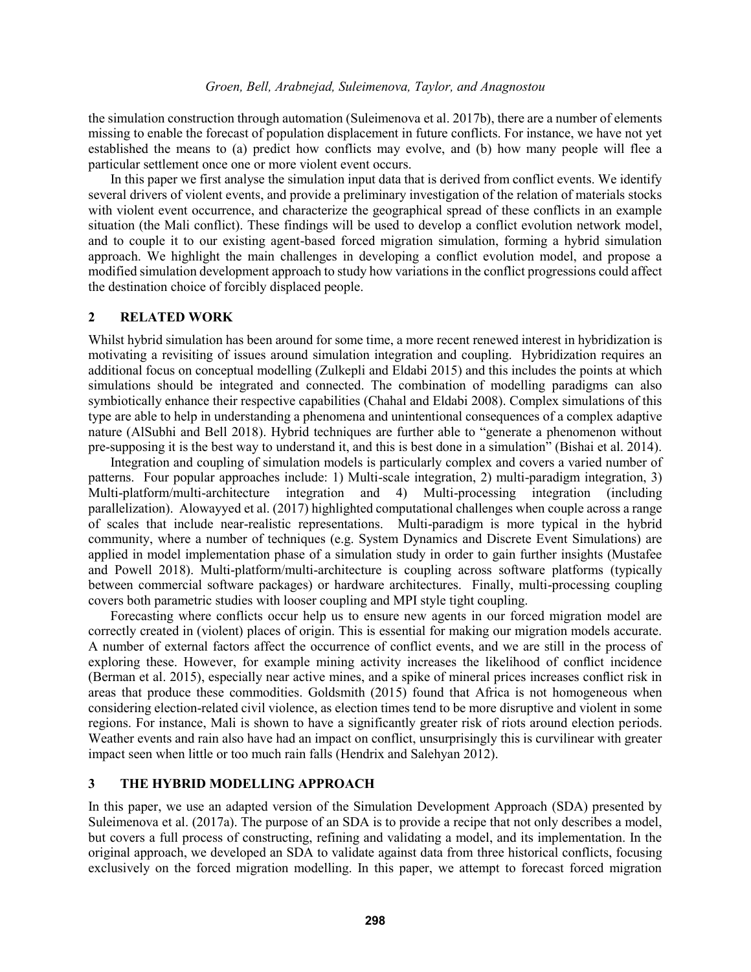the simulation construction through automation (Suleimenova et al. 2017b), there are a number of elements missing to enable the forecast of population displacement in future conflicts. For instance, we have not yet established the means to (a) predict how conflicts may evolve, and (b) how many people will flee a particular settlement once one or more violent event occurs.

In this paper we first analyse the simulation input data that is derived from conflict events. We identify several drivers of violent events, and provide a preliminary investigation of the relation of materials stocks with violent event occurrence, and characterize the geographical spread of these conflicts in an example situation (the Mali conflict). These findings will be used to develop a conflict evolution network model, and to couple it to our existing agent-based forced migration simulation, forming a hybrid simulation approach. We highlight the main challenges in developing a conflict evolution model, and propose a modified simulation development approach to study how variations in the conflict progressions could affect the destination choice of forcibly displaced people.

## **2 RELATED WORK**

Whilst hybrid simulation has been around for some time, a more recent renewed interest in hybridization is motivating a revisiting of issues around simulation integration and coupling. Hybridization requires an additional focus on conceptual modelling (Zulkepli and Eldabi 2015) and this includes the points at which simulations should be integrated and connected. The combination of modelling paradigms can also symbiotically enhance their respective capabilities (Chahal and Eldabi 2008). Complex simulations of this type are able to help in understanding a phenomena and unintentional consequences of a complex adaptive nature (AlSubhi and Bell 2018). Hybrid techniques are further able to "generate a phenomenon without pre-supposing it is the best way to understand it, and this is best done in a simulation" (Bishai et al. 2014).

Integration and coupling of simulation models is particularly complex and covers a varied number of patterns. Four popular approaches include: 1) Multi-scale integration, 2) multi-paradigm integration, 3) Multi-platform/multi-architecture integration and 4) Multi-processing integration (including parallelization). Alowayyed et al. (2017) highlighted computational challenges when couple across a range of scales that include near-realistic representations. Multi-paradigm is more typical in the hybrid community, where a number of techniques (e.g. System Dynamics and Discrete Event Simulations) are applied in model implementation phase of a simulation study in order to gain further insights (Mustafee and Powell 2018). Multi-platform/multi-architecture is coupling across software platforms (typically between commercial software packages) or hardware architectures. Finally, multi-processing coupling covers both parametric studies with looser coupling and MPI style tight coupling.

Forecasting where conflicts occur help us to ensure new agents in our forced migration model are correctly created in (violent) places of origin. This is essential for making our migration models accurate. A number of external factors affect the occurrence of conflict events, and we are still in the process of exploring these. However, for example mining activity increases the likelihood of conflict incidence (Berman et al. 2015), especially near active mines, and a spike of mineral prices increases conflict risk in areas that produce these commodities. Goldsmith (2015) found that Africa is not homogeneous when considering election-related civil violence, as election times tend to be more disruptive and violent in some regions. For instance, Mali is shown to have a significantly greater risk of riots around election periods. Weather events and rain also have had an impact on conflict, unsurprisingly this is curvilinear with greater impact seen when little or too much rain falls (Hendrix and Salehyan 2012).

## **3 THE HYBRID MODELLING APPROACH**

In this paper, we use an adapted version of the Simulation Development Approach (SDA) presented by Suleimenova et al. (2017a). The purpose of an SDA is to provide a recipe that not only describes a model, but covers a full process of constructing, refining and validating a model, and its implementation. In the original approach, we developed an SDA to validate against data from three historical conflicts, focusing exclusively on the forced migration modelling. In this paper, we attempt to forecast forced migration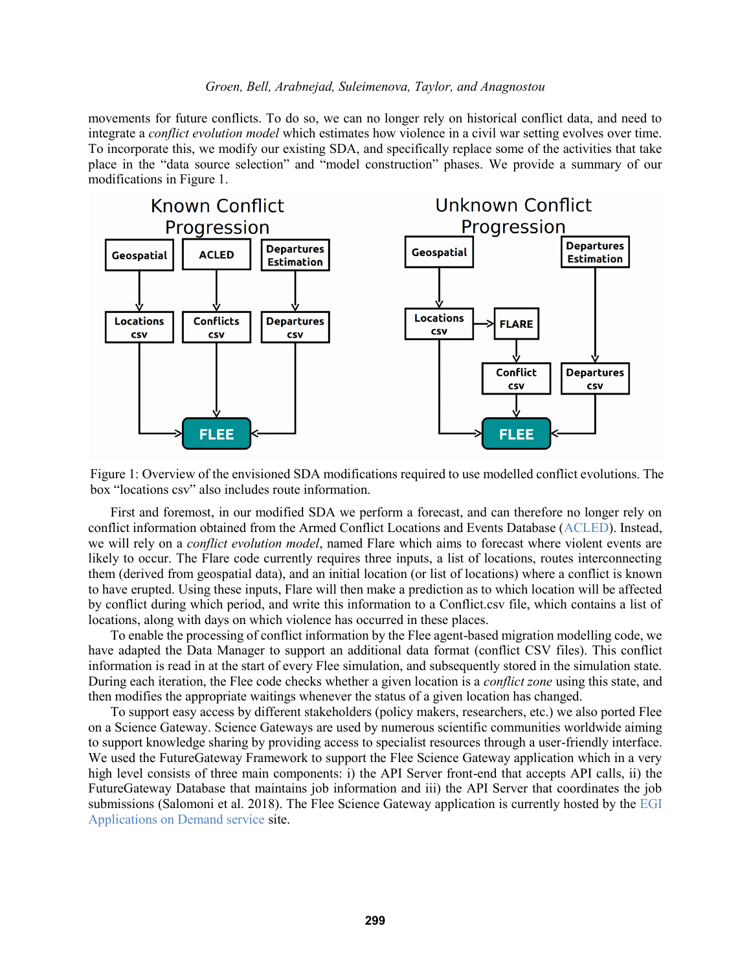movements for future conflicts. To do so, we can no longer rely on historical conflict data, and need to integrate a *conflict evolution model* which estimates how violence in a civil war setting evolves over time. To incorporate this, we modify our existing SDA, and specifically replace some of the activities that take place in the "data source selection" and "model construction" phases. We provide a summary of our modifications in Figure 1.



Figure 1: Overview of the envisioned SDA modifications required to use modelled conflict evolutions. The box "locations csv" also includes route information.

First and foremost, in our modified SDA we perform a forecast, and can therefore no longer rely on conflict information obtained from the Armed Conflict Locations and Events Database [\(ACLED\)](http://www.acleddata.com/). Instead, we will rely on a *conflict evolution model*, named Flare which aims to forecast where violent events are likely to occur. The Flare code currently requires three inputs, a list of locations, routes interconnecting them (derived from geospatial data), and an initial location (or list of locations) where a conflict is known to have erupted. Using these inputs, Flare will then make a prediction as to which location will be affected by conflict during which period, and write this information to a Conflict.csv file, which contains a list of locations, along with days on which violence has occurred in these places.

To enable the processing of conflict information by the Flee agent-based migration modelling code, we have adapted the Data Manager to support an additional data format (conflict CSV files). This conflict information is read in at the start of every Flee simulation, and subsequently stored in the simulation state. During each iteration, the Flee code checks whether a given location is a *conflict zone* using this state, and then modifies the appropriate waitings whenever the status of a given location has changed.

To support easy access by different stakeholders (policy makers, researchers, etc.) we also ported Flee on a Science Gateway. Science Gateways are used by numerous scientific communities worldwide aiming to support knowledge sharing by providing access to specialist resources through a user-friendly interface. We used the FutureGateway Framework to support the Flee Science Gateway application which in a very high level consists of three main components: i) the API Server front-end that accepts API calls, ii) the FutureGateway Database that maintains job information and iii) the API Server that coordinates the job submissions (Salomoni et al. 2018). The Flee Science Gateway application is currently hosted by the [EGI](https://www.egi.eu/services/applications-on-demand)  [Applications on Demand service](https://www.egi.eu/services/applications-on-demand) site.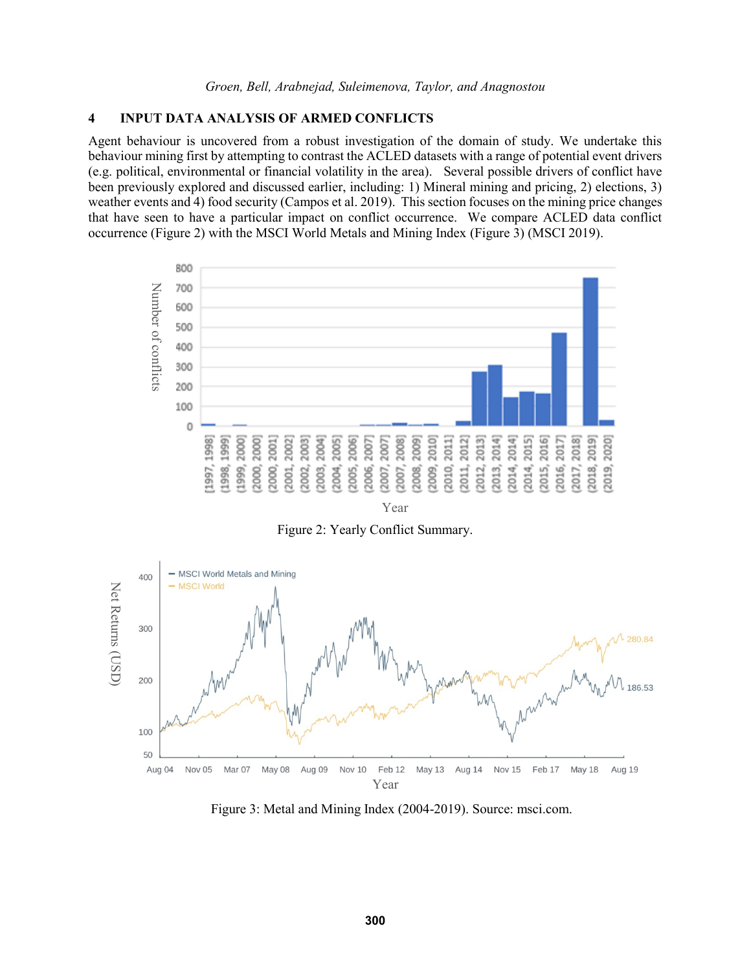# **4 INPUT DATA ANALYSIS OF ARMED CONFLICTS**

Agent behaviour is uncovered from a robust investigation of the domain of study. We undertake this behaviour mining first by attempting to contrast the ACLED datasets with a range of potential event drivers (e.g. political, environmental or financial volatility in the area). Several possible drivers of conflict have been previously explored and discussed earlier, including: 1) Mineral mining and pricing, 2) elections, 3) weather events and 4) food security (Campos et al. 2019). This section focuses on the mining price changes that have seen to have a particular impact on conflict occurrence. We compare ACLED data conflict occurrence (Figure 2) with the MSCI World Metals and Mining Index (Figure 3) (MSCI 2019).



Figure 2: Yearly Conflict Summary.



Figure 3: Metal and Mining Index (2004-2019). Source: msci.com.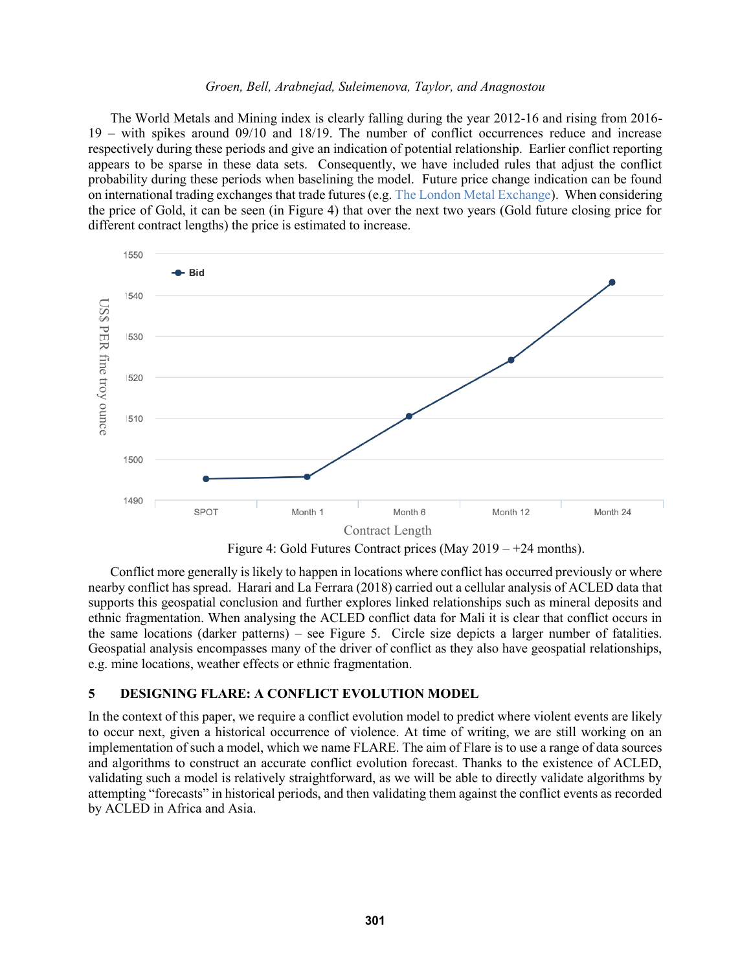The World Metals and Mining index is clearly falling during the year 2012-16 and rising from 2016- 19 – with spikes around 09/10 and 18/19. The number of conflict occurrences reduce and increase respectively during these periods and give an indication of potential relationship. Earlier conflict reporting appears to be sparse in these data sets. Consequently, we have included rules that adjust the conflict probability during these periods when baselining the model. Future price change indication can be found on international trading exchanges that trade futures (e.g. [The London Metal Exchange\)](http://www.lme.com/). When considering the price of Gold, it can be seen (in Figure 4) that over the next two years (Gold future closing price for different contract lengths) the price is estimated to increase.





Conflict more generally is likely to happen in locations where conflict has occurred previously or where nearby conflict has spread. Harari and La Ferrara (2018) carried out a cellular analysis of ACLED data that supports this geospatial conclusion and further explores linked relationships such as mineral deposits and ethnic fragmentation. When analysing the ACLED conflict data for Mali it is clear that conflict occurs in the same locations (darker patterns) – see Figure 5. Circle size depicts a larger number of fatalities. Geospatial analysis encompasses many of the driver of conflict as they also have geospatial relationships, e.g. mine locations, weather effects or ethnic fragmentation.

### **5 DESIGNING FLARE: A CONFLICT EVOLUTION MODEL**

In the context of this paper, we require a conflict evolution model to predict where violent events are likely to occur next, given a historical occurrence of violence. At time of writing, we are still working on an implementation of such a model, which we name FLARE. The aim of Flare is to use a range of data sources and algorithms to construct an accurate conflict evolution forecast. Thanks to the existence of ACLED, validating such a model is relatively straightforward, as we will be able to directly validate algorithms by attempting "forecasts" in historical periods, and then validating them against the conflict events as recorded by ACLED in Africa and Asia.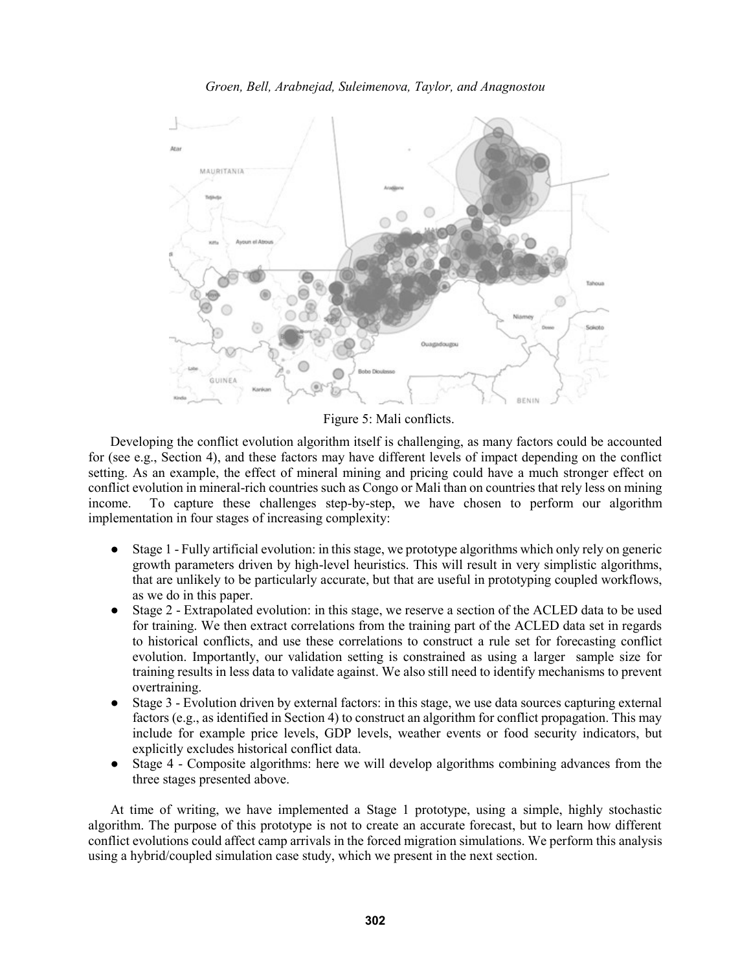

Figure 5: Mali conflicts.

Developing the conflict evolution algorithm itself is challenging, as many factors could be accounted for (see e.g., Section 4), and these factors may have different levels of impact depending on the conflict setting. As an example, the effect of mineral mining and pricing could have a much stronger effect on conflict evolution in mineral-rich countries such as Congo or Mali than on countries that rely less on mining income. To capture these challenges step-by-step, we have chosen to perform our algorithm implementation in four stages of increasing complexity:

- Stage 1 Fully artificial evolution: in this stage, we prototype algorithms which only rely on generic growth parameters driven by high-level heuristics. This will result in very simplistic algorithms, that are unlikely to be particularly accurate, but that are useful in prototyping coupled workflows, as we do in this paper.
- Stage 2 Extrapolated evolution: in this stage, we reserve a section of the ACLED data to be used for training. We then extract correlations from the training part of the ACLED data set in regards to historical conflicts, and use these correlations to construct a rule set for forecasting conflict evolution. Importantly, our validation setting is constrained as using a larger sample size for training results in less data to validate against. We also still need to identify mechanisms to prevent overtraining.
- Stage 3 Evolution driven by external factors: in this stage, we use data sources capturing external factors (e.g., as identified in Section 4) to construct an algorithm for conflict propagation. This may include for example price levels, GDP levels, weather events or food security indicators, but explicitly excludes historical conflict data.
- Stage 4 Composite algorithms: here we will develop algorithms combining advances from the three stages presented above.

At time of writing, we have implemented a Stage 1 prototype, using a simple, highly stochastic algorithm. The purpose of this prototype is not to create an accurate forecast, but to learn how different conflict evolutions could affect camp arrivals in the forced migration simulations. We perform this analysis using a hybrid/coupled simulation case study, which we present in the next section.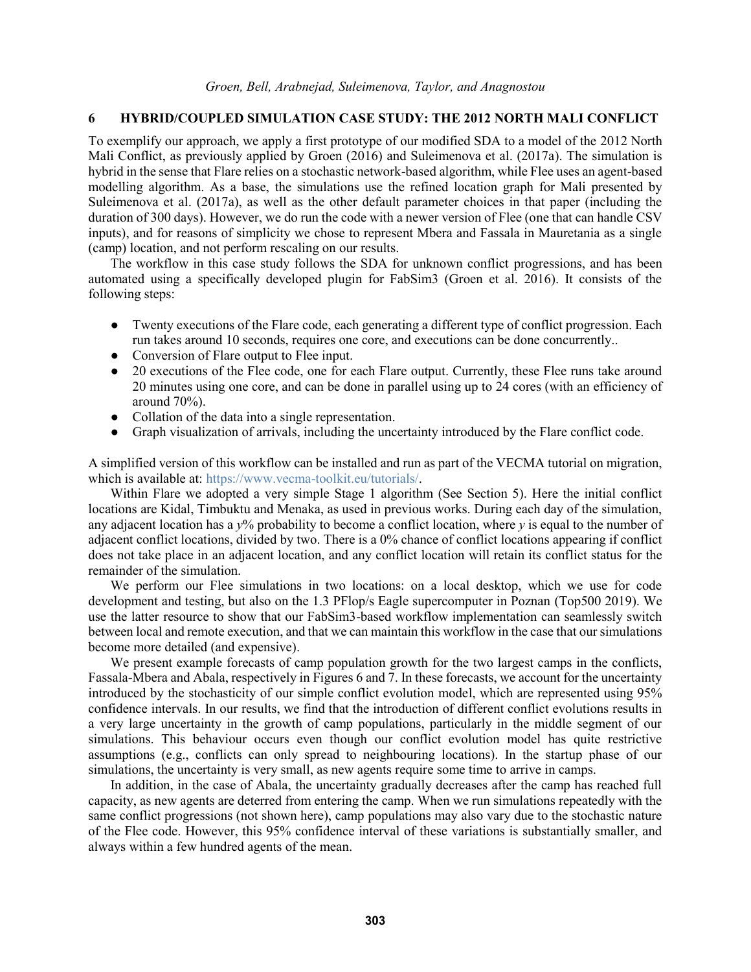# **6 HYBRID/COUPLED SIMULATION CASE STUDY: THE 2012 NORTH MALI CONFLICT**

To exemplify our approach, we apply a first prototype of our modified SDA to a model of the 2012 North Mali Conflict, as previously applied by Groen (2016) and Suleimenova et al. (2017a). The simulation is hybrid in the sense that Flare relies on a stochastic network-based algorithm, while Flee uses an agent-based modelling algorithm. As a base, the simulations use the refined location graph for Mali presented by Suleimenova et al. (2017a), as well as the other default parameter choices in that paper (including the duration of 300 days). However, we do run the code with a newer version of Flee (one that can handle CSV inputs), and for reasons of simplicity we chose to represent Mbera and Fassala in Mauretania as a single (camp) location, and not perform rescaling on our results.

The workflow in this case study follows the SDA for unknown conflict progressions, and has been automated using a specifically developed plugin for FabSim3 (Groen et al. 2016). It consists of the following steps:

- Twenty executions of the Flare code, each generating a different type of conflict progression. Each run takes around 10 seconds, requires one core, and executions can be done concurrently..
- Conversion of Flare output to Flee input.
- 20 executions of the Flee code, one for each Flare output. Currently, these Flee runs take around 20 minutes using one core, and can be done in parallel using up to 24 cores (with an efficiency of around 70%).
- Collation of the data into a single representation.
- Graph visualization of arrivals, including the uncertainty introduced by the Flare conflict code.

A simplified version of this workflow can be installed and run as part of the VECMA tutorial on migration, which is available at: [https://www.vecma-toolkit.eu/tutorials/.](https://www.vecma-toolkit.eu/tutorials/)

Within Flare we adopted a very simple Stage 1 algorithm (See Section 5). Here the initial conflict locations are Kidal, Timbuktu and Menaka, as used in previous works. During each day of the simulation, any adjacent location has a *y*% probability to become a conflict location, where *y* is equal to the number of adjacent conflict locations, divided by two. There is a 0% chance of conflict locations appearing if conflict does not take place in an adjacent location, and any conflict location will retain its conflict status for the remainder of the simulation.

We perform our Flee simulations in two locations: on a local desktop, which we use for code development and testing, but also on the 1.3 PFlop/s Eagle supercomputer in Poznan (Top500 2019). We use the latter resource to show that our FabSim3-based workflow implementation can seamlessly switch between local and remote execution, and that we can maintain this workflow in the case that our simulations become more detailed (and expensive).

We present example forecasts of camp population growth for the two largest camps in the conflicts, Fassala-Mbera and Abala, respectively in Figures 6 and 7. In these forecasts, we account for the uncertainty introduced by the stochasticity of our simple conflict evolution model, which are represented using 95% confidence intervals. In our results, we find that the introduction of different conflict evolutions results in a very large uncertainty in the growth of camp populations, particularly in the middle segment of our simulations. This behaviour occurs even though our conflict evolution model has quite restrictive assumptions (e.g., conflicts can only spread to neighbouring locations). In the startup phase of our simulations, the uncertainty is very small, as new agents require some time to arrive in camps.

In addition, in the case of Abala, the uncertainty gradually decreases after the camp has reached full capacity, as new agents are deterred from entering the camp. When we run simulations repeatedly with the same conflict progressions (not shown here), camp populations may also vary due to the stochastic nature of the Flee code. However, this 95% confidence interval of these variations is substantially smaller, and always within a few hundred agents of the mean.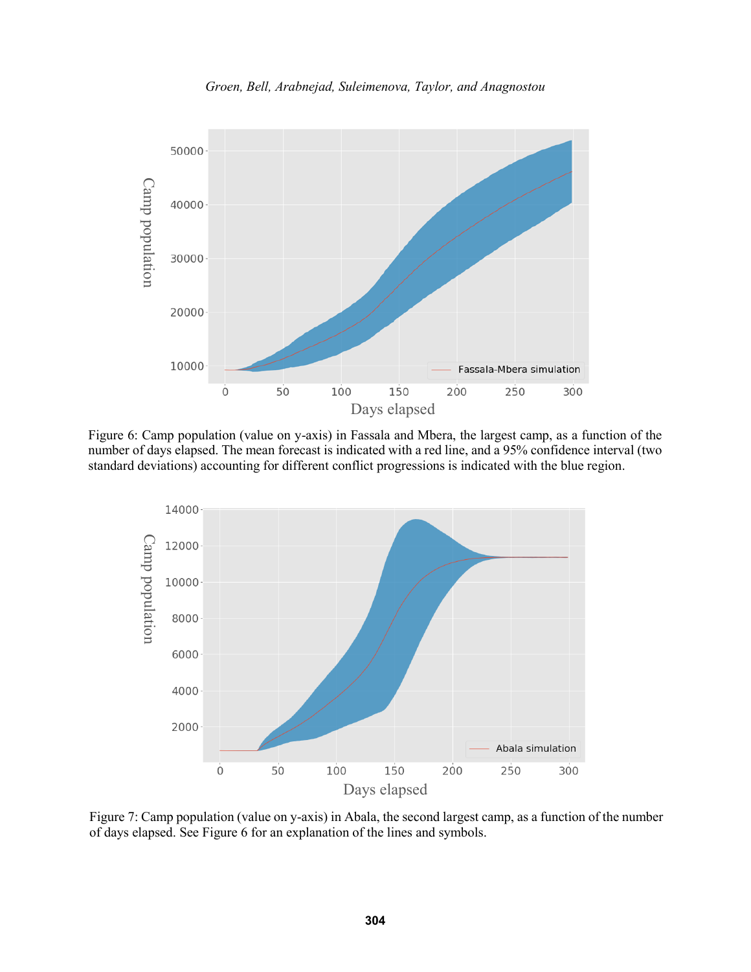

Figure 6: Camp population (value on y-axis) in Fassala and Mbera, the largest camp, as a function of the number of days elapsed. The mean forecast is indicated with a red line, and a 95% confidence interval (two standard deviations) accounting for different conflict progressions is indicated with the blue region.



Figure 7: Camp population (value on y-axis) in Abala, the second largest camp, as a function of the number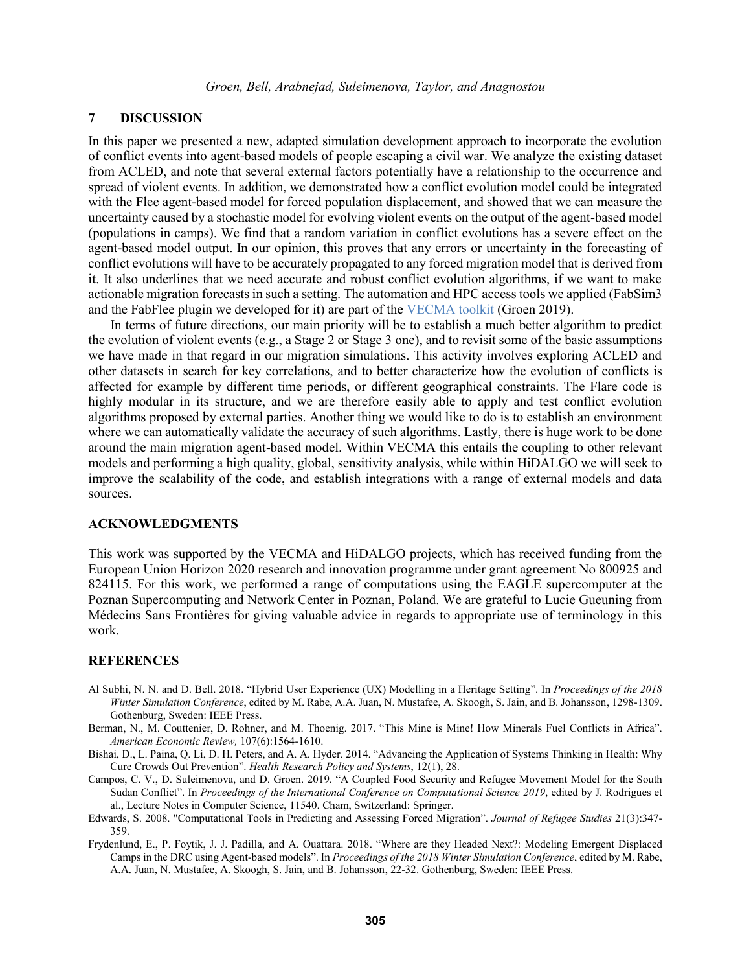# **7 DISCUSSION**

In this paper we presented a new, adapted simulation development approach to incorporate the evolution of conflict events into agent-based models of people escaping a civil war. We analyze the existing dataset from ACLED, and note that several external factors potentially have a relationship to the occurrence and spread of violent events. In addition, we demonstrated how a conflict evolution model could be integrated with the Flee agent-based model for forced population displacement, and showed that we can measure the uncertainty caused by a stochastic model for evolving violent events on the output of the agent-based model (populations in camps). We find that a random variation in conflict evolutions has a severe effect on the agent-based model output. In our opinion, this proves that any errors or uncertainty in the forecasting of conflict evolutions will have to be accurately propagated to any forced migration model that is derived from it. It also underlines that we need accurate and robust conflict evolution algorithms, if we want to make actionable migration forecasts in such a setting. The automation and HPC access tools we applied (FabSim3 and the FabFlee plugin we developed for it) are part of the [VECMA toolkit](http://www.vecma-toolkit.eu/) (Groen 2019).

In terms of future directions, our main priority will be to establish a much better algorithm to predict the evolution of violent events (e.g., a Stage 2 or Stage 3 one), and to revisit some of the basic assumptions we have made in that regard in our migration simulations. This activity involves exploring ACLED and other datasets in search for key correlations, and to better characterize how the evolution of conflicts is affected for example by different time periods, or different geographical constraints. The Flare code is highly modular in its structure, and we are therefore easily able to apply and test conflict evolution algorithms proposed by external parties. Another thing we would like to do is to establish an environment where we can automatically validate the accuracy of such algorithms. Lastly, there is huge work to be done around the main migration agent-based model. Within VECMA this entails the coupling to other relevant models and performing a high quality, global, sensitivity analysis, while within HiDALGO we will seek to improve the scalability of the code, and establish integrations with a range of external models and data sources.

### **ACKNOWLEDGMENTS**

This work was supported by the VECMA and HiDALGO projects, which has received funding from the European Union Horizon 2020 research and innovation programme under grant agreement No 800925 and 824115. For this work, we performed a range of computations using the EAGLE supercomputer at the Poznan Supercomputing and Network Center in Poznan, Poland. We are grateful to Lucie Gueuning from Médecins Sans Frontières for giving valuable advice in regards to appropriate use of terminology in this work.

#### **REFERENCES**

- Al Subhi, N. N. and D. Bell. 2018. "Hybrid User Experience (UX) Modelling in a Heritage Setting". In *Proceedings of the 2018 Winter Simulation Conference*, edited by M. Rabe, A.A. Juan, N. Mustafee, A. Skoogh, S. Jain, and B. Johansson, 1298-1309. Gothenburg, Sweden: IEEE Press.
- Berman, N., M. Couttenier, D. Rohner, and M. Thoenig. 2017. "This Mine is Mine! How Minerals Fuel Conflicts in Africa". *American Economic Review,* 107(6):1564-1610.
- Bishai, D., L. Paina, Q. Li, D. H. Peters, and A. A. Hyder. 2014. "Advancing the Application of Systems Thinking in Health: Why Cure Crowds Out Prevention". *Health Research Policy and Systems*, 12(1), 28.
- Campos, C. V., D. Suleimenova, and D. Groen. 2019. "A Coupled Food Security and Refugee Movement Model for the South Sudan Conflict". In *Proceedings of the International Conference on Computational Science 2019*, edited by J. Rodrigues et al., Lecture Notes in Computer Science, 11540. Cham, Switzerland: Springer.
- Edwards, S. 2008. "Computational Tools in Predicting and Assessing Forced Migration". *Journal of Refugee Studies* 21(3):347- 359.
- Frydenlund, E., P. Foytik, J. J. Padilla, and A. Ouattara. 2018. "Where are they Headed Next?: Modeling Emergent Displaced Camps in the DRC using Agent-based models". In *Proceedings of the 2018 Winter Simulation Conference*, edited by M. Rabe, A.A. Juan, N. Mustafee, A. Skoogh, S. Jain, and B. Johansson, 22-32. Gothenburg, Sweden: IEEE Press.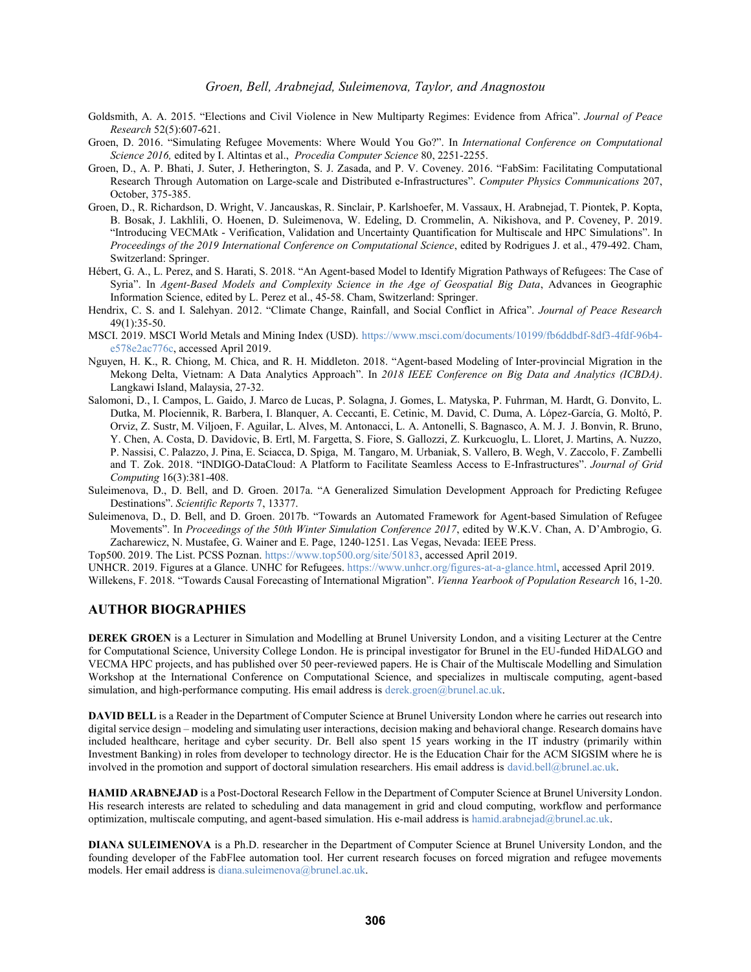- Goldsmith, A. A. 2015. "Elections and Civil Violence in New Multiparty Regimes: Evidence from Africa". *Journal of Peace Research* 52(5):607-621.
- Groen, D. 2016. "Simulating Refugee Movements: Where Would You Go?". In *International Conference on Computational Science 2016,* edited by I. Altintas et al., *Procedia Computer Science* 80, 2251-2255.
- Groen, D., A. P. Bhati, J. Suter, J. Hetherington, S. J. Zasada, and P. V. Coveney. 2016. "FabSim: Facilitating Computational Research Through Automation on Large-scale and Distributed e-Infrastructures". *Computer Physics Communications* 207, October, 375-385.
- Groen, D., R. Richardson, D. Wright, V. Jancauskas, R. Sinclair, P. Karlshoefer, M. Vassaux, H. Arabnejad, T. Piontek, P. Kopta, B. Bosak, J. Lakhlili, O. Hoenen, D. Suleimenova, W. Edeling, D. Crommelin, A. Nikishova, and P. Coveney, P. 2019. "Introducing VECMAtk - Verification, Validation and Uncertainty Quantification for Multiscale and HPC Simulations". In *Proceedings of the 2019 International Conference on Computational Science*, edited by Rodrigues J. et al., 479-492. Cham, Switzerland: Springer.
- Hébert, G. A., L. Perez, and S. Harati, S. 2018. "An Agent-based Model to Identify Migration Pathways of Refugees: The Case of Syria". In *Agent-Based Models and Complexity Science in the Age of Geospatial Big Data*, Advances in Geographic Information Science, edited by L. Perez et al., 45-58. Cham, Switzerland: Springer.
- Hendrix, C. S. and I. Salehyan. 2012. "Climate Change, Rainfall, and Social Conflict in Africa". *Journal of Peace Research* 49(1):35-50.
- MSCI. 2019. MSCI World Metals and Mining Index (USD). [https://www.msci.com/documents/10199/fb6ddbdf-8df3-4fdf-96b4](https://www.msci.com/documents/10199/fb6ddbdf-8df3-4fdf-96b4-e578e2ac776c) [e578e2ac776c,](https://www.msci.com/documents/10199/fb6ddbdf-8df3-4fdf-96b4-e578e2ac776c) accessed April 2019.
- Nguyen, H. K., R. Chiong, M. Chica, and R. H. Middleton. 2018. "Agent-based Modeling of Inter-provincial Migration in the Mekong Delta, Vietnam: A Data Analytics Approach". In *2018 IEEE Conference on Big Data and Analytics (ICBDA)*. Langkawi Island, Malaysia, 27-32.
- Salomoni, D., I. Campos, L. Gaido, J. Marco de Lucas, P. Solagna, J. Gomes, L. Matyska, P. Fuhrman, M. Hardt, G. Donvito, L. Dutka, M. Plociennik, R. Barbera, I. Blanquer, A. Ceccanti, E. Cetinic, M. David, C. Duma, A. López-García, G. Moltó, P. Orviz, Z. Sustr, M. Viljoen, F. Aguilar, L. Alves, M. Antonacci, L. A. Antonelli, S. Bagnasco, A. M. J. J. Bonvin, R. Bruno, Y. Chen, A. Costa, D. Davidovic, B. Ertl, M. Fargetta, S. Fiore, S. Gallozzi, Z. Kurkcuoglu, L. Lloret, J. Martins, A. Nuzzo, P. Nassisi, C. Palazzo, J. Pina, E. Sciacca, D. Spiga, M. Tangaro, M. Urbaniak, S. Vallero, B. Wegh, V. Zaccolo, F. Zambelli and T. Zok. 2018. "INDIGO-DataCloud: A Platform to Facilitate Seamless Access to E-Infrastructures". *Journal of Grid Computing* 16(3):381-408.
- Suleimenova, D., D. Bell, and D. Groen. 2017a. "A Generalized Simulation Development Approach for Predicting Refugee Destinations". *Scientific Reports* 7, 13377.
- Suleimenova, D., D. Bell, and D. Groen. 2017b. "Towards an Automated Framework for Agent-based Simulation of Refugee Movements". In *Proceedings of the 50th Winter Simulation Conference 2017*, edited by W.K.V. Chan, A. D'Ambrogio, G. Zacharewicz, N. Mustafee, G. Wainer and E. Page, 1240-1251. Las Vegas, Nevada: IEEE Press.

Top500. 2019. The List. PCSS Poznan. [https://www.top500.org/site/50183,](https://www.top500.org/site/50183) accessed April 2019.

UNHCR. 2019. Figures at a Glance. UNHC for Refugees. [https://www.unhcr.org/figures-at-a-glance.html,](https://www.unhcr.org/figures-at-a-glance.html) accessed April 2019. Willekens, F. 2018. "Towards Causal Forecasting of International Migration". *Vienna Yearbook of Population Research* 16, 1-20.

#### **AUTHOR BIOGRAPHIES**

**DEREK GROEN** is a Lecturer in Simulation and Modelling at Brunel University London, and a visiting Lecturer at the Centre for Computational Science, University College London. He is principal investigator for Brunel in the EU-funded HiDALGO and VECMA HPC projects, and has published over 50 peer-reviewed papers. He is Chair of the Multiscale Modelling and Simulation Workshop at the International Conference on Computational Science, and specializes in multiscale computing, agent-based simulation, and high-performance computing. His email address is [derek.groen@brunel.ac.uk.](mailto:derek.groen@brunel.ac.uk)

**DAVID BELL** is a Reader in the Department of Computer Science at Brunel University London where he carries out research into digital service design – modeling and simulating user interactions, decision making and behavioral change. Research domains have included healthcare, heritage and cyber security. Dr. Bell also spent 15 years working in the IT industry (primarily within Investment Banking) in roles from developer to technology director. He is the Education Chair for the ACM SIGSIM where he is involved in the promotion and support of doctoral simulation researchers. His email address i[s david.bell@brunel.ac.uk.](mailto:david.bell@brunel.ac.uk)

**HAMID ARABNEJAD** is a Post-Doctoral Research Fellow in the Department of Computer Science at Brunel University London. His research interests are related to scheduling and data management in grid and cloud computing, workflow and performance optimization, multiscale computing, and agent-based simulation. His e-mail address i[s hamid.arabnejad@brunel.ac.uk.](mailto:hamid.arabnejad@brunel.ac.uk)

**DIANA SULEIMENOVA** is a Ph.D. researcher in the Department of Computer Science at Brunel University London, and the founding developer of the FabFlee automation tool. Her current research focuses on forced migration and refugee movements models. Her email address is [diana.suleimenova@brunel.ac.uk.](mailto:diana.suleimenova@brunel.ac.uk)